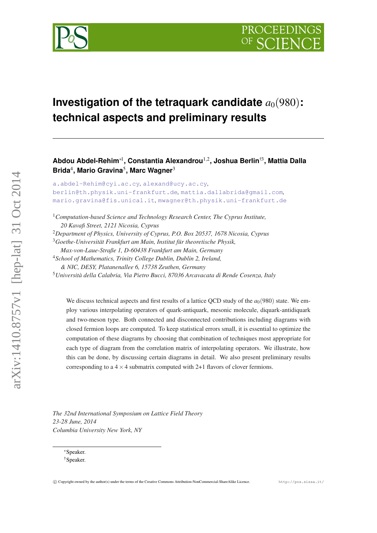

# **Investigation of the tetraquark candidate**  $a_0(980)$ : **technical aspects and preliminary results**

**Abdou Abdel-Rehim**∗<sup>1</sup> **, Constantia Alexandrou**1,<sup>2</sup> **, Joshua Berlin**†3**, Mattia Dalla Brida**<sup>4</sup> **, Mario Gravina**<sup>5</sup> **, Marc Wagner**<sup>3</sup>

[a.abdel-Rehim@cyi.ac.cy](mailto:a.abdel-Rehim@cyi.ac.cy)*,* [alexand@ucy.ac.cy](mailto:alexand@ucy.ac.cy)*,* [berlin@th.physik.uni-frankfurt.de](mailto:berlin@th.physik.uni-frankfurt.de)*,* [mattia.dallabrida@gmail.com](mailto:mattia.dallabrida@gmail.com)*,* [mario.gravina@fis.unical.it](mailto:mario.gravina@fis.unical.it)*,* [mwagner@th.physik.uni-frankfurt.de](mailto:mwagner@th.physik.uni-frankfurt.de)

<sup>1</sup>*Computation-based Science and Technology Research Center, The Cyprus Institute, 20 Kavafi Street, 2121 Nicosia, Cyprus*

<sup>2</sup>*Department of Physics, University of Cyprus, P.O. Box 20537, 1678 Nicosia, Cyprus*

<sup>3</sup>*Goethe-Universität Frankfurt am Main, Institut für theoretische Physik,*

*Max-von-Laue-Straße 1, D-60438 Frankfurt am Main, Germany*

<sup>4</sup>*School of Mathematics, Trinity College Dublin, Dublin 2, Ireland,*

*& NIC, DESY, Platanenallee 6, 15738 Zeuthen, Germany*

<sup>5</sup>*Università della Calabria, Via Pietro Bucci, 87036 Arcavacata di Rende Cosenza, Italy*

We discuss technical aspects and first results of a lattice QCD study of the  $a<sub>0</sub>(980)$  state. We employ various interpolating operators of quark-antiquark, mesonic molecule, diquark-antidiquark and two-meson type. Both connected and disconnected contributions including diagrams with closed fermion loops are computed. To keep statistical errors small, it is essential to optimize the computation of these diagrams by choosing that combination of techniques most appropriate for each type of diagram from the correlation matrix of interpolating operators. We illustrate, how this can be done, by discussing certain diagrams in detail. We also present preliminary results corresponding to a  $4 \times 4$  submatrix computed with 2+1 flavors of clover fermions.

*The 32nd International Symposium on Lattice Field Theory 23-28 June, 2014 Columbia University New York, NY*

<sup>∗</sup>Speaker. †Speaker.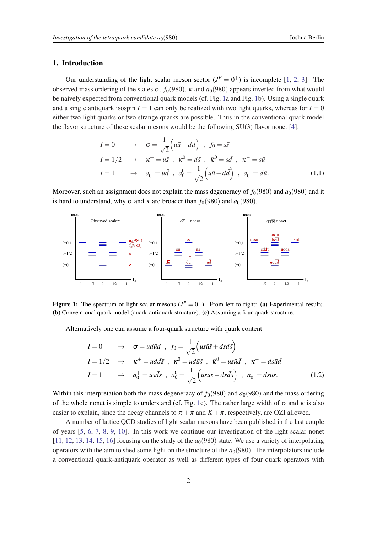## 1. Introduction

Our understanding of the light scalar meson sector  $(J^P = 0^+)$  is incomplete [\[1](#page-11-0), [2,](#page-11-0) [3\]](#page-11-0). The observed mass ordering of the states  $\sigma$ ,  $f_0(980)$ ,  $\kappa$  and  $a_0(980)$  appears inverted from what would be naively expected from conventional quark models (cf. Fig. 1a and Fig. 1b). Using a single quark and a single antiquark isospin  $I = 1$  can only be realized with two light quarks, whereas for  $I = 0$ either two light quarks or two strange quarks are possible. Thus in the conventional quark model the flavor structure of these scalar mesons would be the following  $SU(3)$  flavor nonet [\[4\]](#page-11-0):

$$
I = 0 \rightarrow \sigma = \frac{1}{\sqrt{2}} \left( u\bar{u} + d\bar{d} \right) , \quad f_0 = s\bar{s}
$$
  
\n
$$
I = 1/2 \rightarrow \kappa^+ = u\bar{s} , \quad \kappa^0 = d\bar{s} , \quad \bar{\kappa}^0 = s\bar{d} , \quad \kappa^- = s\bar{u}
$$
  
\n
$$
I = 1 \rightarrow a_0^+ = u\bar{d} , \quad a_0^0 = \frac{1}{\sqrt{2}} \left( u\bar{u} - d\bar{d} \right) , \quad a_0^- = d\bar{u}.
$$
 (1.1)

Moreover, such an assignment does not explain the mass degeneracy of  $f_0(980)$  and  $a_0(980)$  and it is hard to understand, why  $\sigma$  and  $\kappa$  are broader than  $f_0(980)$  and  $a_0(980)$ .



Figure 1: The spectrum of light scalar mesons  $(J^P = 0^+)$ . From left to right: (a) Experimental results. (b) Conventional quark model (quark-antiquark structure). (c) Assuming a four-quark structure.

Alternatively one can assume a four-quark structure with quark content

$$
I = 0 \rightarrow \sigma = u d\bar{u} \bar{d} , f_0 = \frac{1}{\sqrt{2}} \left( u s \bar{u} \bar{s} + d s \bar{d} \bar{s} \right)
$$
  
\n
$$
I = 1/2 \rightarrow \kappa^+ = u d \bar{d} \bar{s} , \kappa^0 = u d \bar{u} \bar{s} , \bar{\kappa}^0 = u s \bar{u} \bar{d} , \kappa^- = d s \bar{u} \bar{d}
$$
  
\n
$$
I = 1 \rightarrow a_0^+ = u s \bar{d} \bar{s} , a_0^0 = \frac{1}{\sqrt{2}} \left( u s \bar{u} \bar{s} - d s \bar{d} \bar{s} \right) , a_0^- = d s \bar{u} \bar{s}.
$$
 (1.2)

Within this interpretation both the mass degeneracy of  $f_0(980)$  and  $a_0(980)$  and the mass ordering of the whole nonet is simple to understand (cf. Fig. 1c). The rather large width of  $\sigma$  and  $\kappa$  is also easier to explain, since the decay channels to  $\pi + \pi$  and  $K + \pi$ , respectively, are OZI allowed.

A number of lattice QCD studies of light scalar mesons have been published in the last couple of years [[5](#page-11-0), [6](#page-11-0), [7](#page-11-0), [8](#page-11-0), [9](#page-11-0), [10](#page-11-0)]. In this work we continue our investigation of the light scalar nonet  $[11, 12, 13, 14, 15, 16]$  $[11, 12, 13, 14, 15, 16]$  $[11, 12, 13, 14, 15, 16]$  $[11, 12, 13, 14, 15, 16]$  $[11, 12, 13, 14, 15, 16]$  $[11, 12, 13, 14, 15, 16]$  $[11, 12, 13, 14, 15, 16]$  $[11, 12, 13, 14, 15, 16]$  $[11, 12, 13, 14, 15, 16]$  $[11, 12, 13, 14, 15, 16]$  $[11, 12, 13, 14, 15, 16]$  $[11, 12, 13, 14, 15, 16]$  focusing on the study of the  $a<sub>0</sub>(980)$  state. We use a variety of interpolating operators with the aim to shed some light on the structure of the  $a<sub>0</sub>(980)$ . The interpolators include a conventional quark-antiquark operator as well as different types of four quark operators with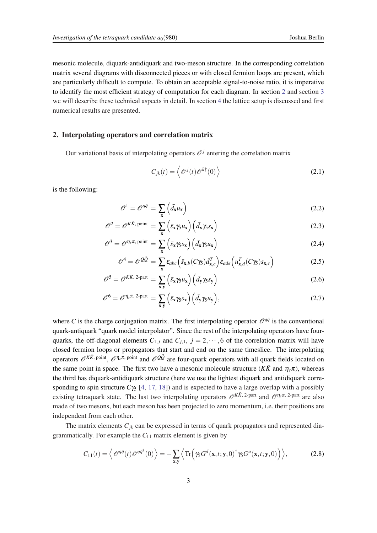<span id="page-2-0"></span>mesonic molecule, diquark-antidiquark and two-meson structure. In the corresponding correlation matrix several diagrams with disconnected pieces or with closed fermion loops are present, which are particularly difficult to compute. To obtain an acceptable signal-to-noise ratio, it is imperative to identify the most efficient strategy of computation for each diagram. In section 2 and section [3](#page-3-0) we will describe these technical aspects in detail. In section [4](#page-6-0) the lattice setup is discussed and first numerical results are presented.

# 2. Interpolating operators and correlation matrix

Our variational basis of interpolating operators  $\mathcal{O}^j$  entering the correlation matrix

$$
C_{jk}(t) = \left\langle \mathcal{O}^{j}(t)\mathcal{O}^{k\dagger}(0) \right\rangle
$$
 (2.1)

is the following:

$$
\mathcal{O}^1 = \mathcal{O}^{q\bar{q}} = \sum_{\mathbf{x}} \left( \bar{d}_{\mathbf{x}} u_{\mathbf{x}} \right) \tag{2.2}
$$

$$
\mathscr{O}^2 = \mathscr{O}^{K\bar{K}, \text{ point}} = \sum_{\mathbf{x}} \left( \bar{s}_{\mathbf{x}} \gamma_5 u_{\mathbf{x}} \right) \left( \bar{d}_{\mathbf{x}} \gamma_5 s_{\mathbf{x}} \right) \tag{2.3}
$$

$$
\mathscr{O}^3 = \mathscr{O}^{\eta_s \pi, \text{ point}} = \sum_{\mathbf{x}} \left( \bar{s}_{\mathbf{x}} \gamma_5 s_{\mathbf{x}} \right) \left( \bar{d}_{\mathbf{x}} \gamma_5 u_{\mathbf{x}} \right) \tag{2.4}
$$

$$
\mathcal{O}^4 = \mathcal{O}^{Q\bar{Q}} = \sum_{\mathbf{x}} \varepsilon_{abc} \left( \bar{s}_{\mathbf{x},b} (C\gamma_5) \bar{d}_{\mathbf{x},c}^T \right) \varepsilon_{ade} \left( u_{\mathbf{x},d}^T (C\gamma_5) s_{\mathbf{x},e} \right)
$$
(2.5)

$$
\mathscr{O}^5 = \mathscr{O}^{K\bar{K}, 2\text{-part}} = \sum_{\mathbf{x}, \mathbf{y}} \left( \bar{s}_{\mathbf{x}} \gamma_5 u_{\mathbf{x}} \right) \left( \bar{d}_{\mathbf{y}} \gamma_5 s_{\mathbf{y}} \right) \tag{2.6}
$$

$$
\mathscr{O}^6 = \mathscr{O}^{\eta_s \pi, 2\text{-part}} = \sum_{\mathbf{x}, \mathbf{y}} \left( \bar{s}_{\mathbf{x}} \gamma_5 s_{\mathbf{x}} \right) \left( \bar{d}_{\mathbf{y}} \gamma_5 u_{\mathbf{y}} \right), \tag{2.7}
$$

where *C* is the charge conjugation matrix. The first interpolating operator  $\mathcal{O}^{q\bar{q}}$  is the conventional quark-antiquark "quark model interpolator". Since the rest of the interpolating operators have fourquarks, the off-diagonal elements  $C_{1,j}$  and  $C_{j,1}$ ,  $j = 2, \dots, 6$  of the correlation matrix will have closed fermion loops or propagators that start and end on the same timeslice. The interpolating operators  $\mathscr{O}^{K\bar{K}$ , point,  $\mathscr{O}^{\eta_s\pi}$ , point and  $\mathscr{O}^{Q\bar{Q}}$  are four-quark operators with all quark fields located on the same point in space. The first two have a mesonic molecule structure ( $K\bar{K}$  and  $\eta_s\pi$ ), whereas the third has diquark-antidiquark structure (here we use the lightest diquark and antidiquark corresponding to spin structure  $C\gamma_5$  [[4](#page-11-0), [17,](#page-11-0) [18\]](#page-11-0)) and is expected to have a large overlap with a possibly existing tetraquark state. The last two interpolating operators  $\mathcal{O}^{K\bar{K}$ , 2-part and  $\mathcal{O}^{\eta_s\pi}$ , 2-part are also made of two mesons, but each meson has been projected to zero momentum, i.e. their positions are independent from each other.

The matrix elements  $C_{jk}$  can be expressed in terms of quark propagators and represented diagrammatically. For example the  $C_{11}$  matrix element is given by

$$
C_{11}(t) = \left\langle \mathcal{O}^{q\bar{q}}(t) \mathcal{O}^{q\bar{q}^{\dagger}}(0) \right\rangle = -\sum_{\mathbf{x}, \mathbf{y}} \left\langle \text{Tr}\left(\gamma_{5} G^{d}(\mathbf{x}, t; \mathbf{y}, 0)^{\dagger} \gamma_{5} G^{u}(\mathbf{x}, t; \mathbf{y}, 0) \right) \right\rangle, \tag{2.8}
$$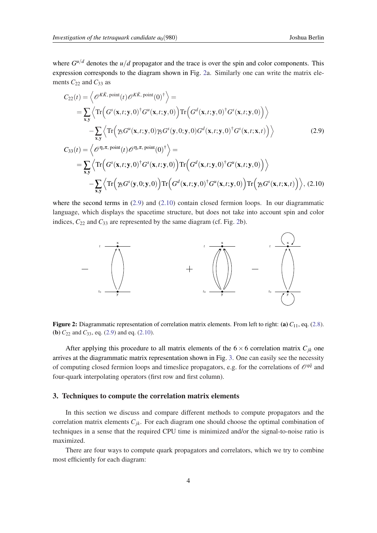<span id="page-3-0"></span>where  $G^{u/d}$  denotes the  $u/d$  propagator and the trace is over the spin and color components. This expression corresponds to the diagram shown in Fig. 2a. Similarly one can write the matrix elements  $C_{22}$  and  $C_{33}$  as

$$
C_{22}(t) = \left\langle \mathcal{O}^{K\bar{K}, \text{ point}}(t) \mathcal{O}^{K\bar{K}, \text{ point}}(0)^{\dagger} \right\rangle =
$$
  
\n
$$
= \sum_{\mathbf{x}, \mathbf{y}} \left\langle \text{Tr} \left( G^{s}(\mathbf{x}, t; \mathbf{y}, 0)^{\dagger} G^{u}(\mathbf{x}, t; \mathbf{y}, 0) \right) \text{Tr} \left( G^{d}(\mathbf{x}, t; \mathbf{y}, 0)^{\dagger} G^{s}(\mathbf{x}, t; \mathbf{y}, 0) \right) \right\rangle
$$
  
\n
$$
- \sum_{\mathbf{x}, \mathbf{y}} \left\langle \text{Tr} \left( \gamma_{5} G^{u}(\mathbf{x}, t; \mathbf{y}, 0) \gamma_{5} G^{s}(\mathbf{y}, 0; \mathbf{y}, 0) G^{d}(\mathbf{x}, t; \mathbf{y}, 0)^{\dagger} G^{s}(\mathbf{x}, t; \mathbf{x}, t) \right) \right\rangle
$$
  
\n
$$
C_{33}(t) = \left\langle \mathcal{O}^{\eta_{5}\pi, \text{ point}}(t) \mathcal{O}^{\eta_{5}\pi, \text{ point}}(0)^{\dagger} \right\rangle =
$$
  
\n
$$
= \sum_{\mathbf{x}, \mathbf{y}} \left\langle \text{Tr} \left( G^{s}(\mathbf{x}, t; \mathbf{y}, 0)^{\dagger} G^{s}(\mathbf{x}, t; \mathbf{y}, 0) \right) \text{Tr} \left( G^{d}(\mathbf{x}, t; \mathbf{y}, 0)^{\dagger} G^{u}(\mathbf{x}, t; \mathbf{y}, 0) \right) \right\rangle
$$
  
\n
$$
- \sum_{\mathbf{x}, \mathbf{y}} \left\langle \text{Tr} \left( \gamma_{5} G^{s}(\mathbf{y}, 0; \mathbf{y}, 0) \right) \text{Tr} \left( G^{d}(\mathbf{x}, t; \mathbf{y}, 0)^{\dagger} G^{u}(\mathbf{x}, t; \mathbf{y}, 0) \right) \text{Tr} \left( \gamma_{5} G^{s}(\mathbf{x}, t; \mathbf{x}, t) \right) \right\rangle, (2.10)
$$

where the second terms in  $(2.9)$  and  $(2.10)$  contain closed fermion loops. In our diagrammatic language, which displays the spacetime structure, but does not take into account spin and color indices,  $C_{22}$  and  $C_{33}$  are represented by the same diagram (cf. Fig. 2b).





After applying this procedure to all matrix elements of the  $6 \times 6$  correlation matrix  $C_{jk}$  one arrives at the diagrammatic matrix representation shown in Fig. [3.](#page-4-0) One can easily see the necessity of computing closed fermion loops and timeslice propagators, e.g. for the correlations of  $\mathcal{O}^{q\bar{q}}$  and four-quark interpolating operators (first row and first column).

#### 3. Techniques to compute the correlation matrix elements

In this section we discuss and compare different methods to compute propagators and the correlation matrix elements  $C_{jk}$ . For each diagram one should choose the optimal combination of techniques in a sense that the required CPU time is minimized and/or the signal-to-noise ratio is maximized.

There are four ways to compute quark propagators and correlators, which we try to combine most efficiently for each diagram: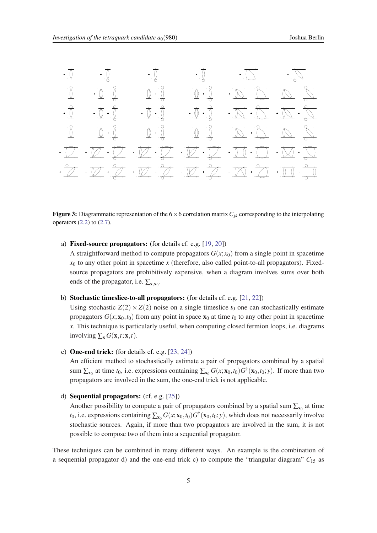<span id="page-4-0"></span>

**Figure 3:** Diagrammatic representation of the  $6 \times 6$  correlation matrix  $C_{ik}$  corresponding to the interpolating operators  $(2.2)$  to  $(2.7)$  $(2.7)$ .

a) Fixed-source propagators: (for details cf. e.g. [\[19](#page-11-0), [20](#page-11-0)])

A straightforward method to compute propagators  $G(x; x_0)$  from a single point in spacetime  $x<sub>0</sub>$  to any other point in spacetime  $x$  (therefore, also called point-to-all propagators). Fixedsource propagators are prohibitively expensive, when a diagram involves sums over both ends of the propagator, i.e.  $\sum_{\mathbf{x}, \mathbf{x}_0}$ .

b) Stochastic timeslice-to-all propagators: (for details cf. e.g. [[21,](#page-11-0) [22](#page-12-0)])

Using stochastic  $Z(2) \times Z(2)$  noise on a single timeslice  $t_0$  one can stochastically estimate propagators  $G(x; x_0, t_0)$  from any point in space  $x_0$  at time  $t_0$  to any other point in spacetime *x*. This technique is particularly useful, when computing closed fermion loops, i.e. diagrams involving  $\sum_{\mathbf{x}} G(\mathbf{x}, t; \mathbf{x}, t)$ .

c) One-end trick: (for details cf. e.g. [[23,](#page-12-0) [24](#page-12-0)])

An efficient method to stochastically estimate a pair of propagators combined by a spatial sum  $\sum_{x_0}$  at time  $t_0$ , i.e. expressions containing  $\sum_{x_0} G(x; x_0, t_0) G^{\dagger}(x_0, t_0; y)$ . If more than two propagators are involved in the sum, the one-end trick is not applicable.

d) Sequential propagators: (cf. e.g. [[25\]](#page-12-0))

Another possibility to compute a pair of propagators combined by a spatial sum  $\sum_{x_0}$  at time *t*<sub>0</sub>, i.e. expressions containing  $\sum_{x_0} G(x; x_0, t_0) G^{\dagger}(x_0, t_0; y)$ , which does not necessarily involve stochastic sources. Again, if more than two propagators are involved in the sum, it is not possible to compose two of them into a sequential propagator.

These techniques can be combined in many different ways. An example is the combination of a sequential propagator d) and the one-end trick c) to compute the "triangular diagram"  $C_{15}$  as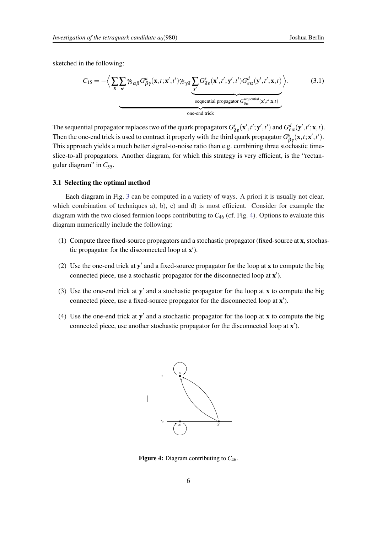sketched in the following:

$$
C_{15} = -\Big\langle \sum_{\mathbf{x}} \sum_{\mathbf{x}'} \gamma_{5\alpha\beta} G^u_{\beta\gamma}(\mathbf{x}, t; \mathbf{x}', t') \gamma_{5\gamma\delta} \underbrace{\sum_{\mathbf{y}'} G^s_{\delta\epsilon}(\mathbf{x}', t'; \mathbf{y}', t') G^d_{\epsilon\alpha}(\mathbf{y}', t'; \mathbf{x}, t)}_{\text{sequential propagator } G^{\text{sequential}}_{\delta\alpha}(\mathbf{x}', t'; \mathbf{x}, t)} \Big\rangle. \tag{3.1}
$$

The sequential propagator replaces two of the quark propagators  $G_{\delta\epsilon}^s(\mathbf{x}',t';\mathbf{y}',t')$  and  $G_{\epsilon\alpha}^d(\mathbf{y}',t';\mathbf{x},t)$ . Then the one-end trick is used to contract it properly with the third quark propagator  $G_{\beta\gamma}^u(\mathbf{x},t;\mathbf{x}',t')$ . This approach yields a much better signal-to-noise ratio than e.g. combining three stochastic timeslice-to-all propagators. Another diagram, for which this strategy is very efficient, is the "rectangular diagram" in  $C_{55}$ .

## 3.1 Selecting the optimal method

Each diagram in Fig. [3](#page-4-0) can be computed in a variety of ways. A priori it is usually not clear, which combination of techniques a), b), c) and d) is most efficient. Consider for example the diagram with the two closed fermion loops contributing to *C*<sup>46</sup> (cf. Fig. 4). Options to evaluate this diagram numerically include the following:

- (1) Compute three fixed-source propagators and a stochastic propagator (fixed-source at x, stochastic propagator for the disconnected loop at  $x'$ ).
- (2) Use the one-end trick at  $y'$  and a fixed-source propagator for the loop at x to compute the big connected piece, use a stochastic propagator for the disconnected loop at x').
- (3) Use the one-end trick at  $y'$  and a stochastic propagator for the loop at  $x$  to compute the big connected piece, use a fixed-source propagator for the disconnected loop at  $x'$ ).
- (4) Use the one-end trick at  $y'$  and a stochastic propagator for the loop at x to compute the big connected piece, use another stochastic propagator for the disconnected loop at  $x'$ ).



Figure 4: Diagram contributing to  $C_{46}$ .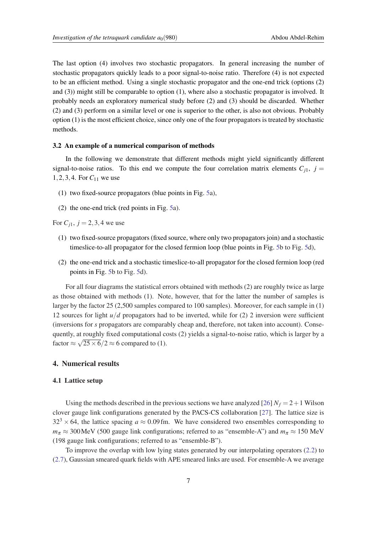<span id="page-6-0"></span>The last option (4) involves two stochastic propagators. In general increasing the number of stochastic propagators quickly leads to a poor signal-to-noise ratio. Therefore (4) is not expected to be an efficient method. Using a single stochastic propagator and the one-end trick (options (2) and (3)) might still be comparable to option (1), where also a stochastic propagator is involved. It probably needs an exploratory numerical study before (2) and (3) should be discarded. Whether (2) and (3) perform on a similar level or one is superior to the other, is also not obvious. Probably option (1) is the most efficient choice, since only one of the four propagators is treated by stochastic methods.

## 3.2 An example of a numerical comparison of methods

In the following we demonstrate that different methods might yield significantly different signal-to-noise ratios. To this end we compute the four correlation matrix elements  $C_{i1}$ ,  $j =$ 1,2,3,4. For *C*<sup>11</sup> we use

- (1) two fixed-source propagators (blue points in Fig. [5](#page-7-0)a),
- (2) the one-end trick (red points in Fig. [5](#page-7-0)a).

For  $C_{i1}$ ,  $j = 2, 3, 4$  we use

- (1) two fixed-source propagators (fixed source, where only two propagators join) and a stochastic timeslice-to-all propagator for the closed fermion loop (blue points in Fig. [5b](#page-7-0) to Fig. [5d](#page-7-0)),
- (2) the one-end trick and a stochastic timeslice-to-all propagator for the closed fermion loop (red points in Fig. [5b](#page-7-0) to Fig. [5](#page-7-0)d).

For all four diagrams the statistical errors obtained with methods (2) are roughly twice as large as those obtained with methods (1). Note, however, that for the latter the number of samples is larger by the factor 25 (2,500 samples compared to 100 samples). Moreover, for each sample in (1) 12 sources for light *u*/*d* propagators had to be inverted, while for (2) 2 inversion were sufficient (inversions for *s* propagators are comparably cheap and, therefore, not taken into account). Consequently, at roughly fixed computational costs (2) yields a signal-to-noise ratio, which is larger by a factor  $\approx \sqrt{25 \times 6}/2 \approx 6$  compared to (1).

# 4. Numerical results

# 4.1 Lattice setup

Using the methods described in the previous sections we have analyzed [[26\]](#page-12-0)  $N_f = 2 + 1$  Wilson clover gauge link configurations generated by the PACS-CS collaboration [\[27](#page-12-0)]. The lattice size is  $32<sup>3</sup> \times 64$ , the lattice spacing  $a \approx 0.09$  fm. We have considered two ensembles corresponding to  $m_{\pi} \approx 300$ MeV (500 gauge link configurations; referred to as "ensemble-A") and  $m_{\pi} \approx 150$  MeV (198 gauge link configurations; referred to as "ensemble-B").

To improve the overlap with low lying states generated by our interpolating operators [\(2.2\)](#page-2-0) to ([2.7\)](#page-2-0), Gaussian smeared quark fields with APE smeared links are used. For ensemble-A we average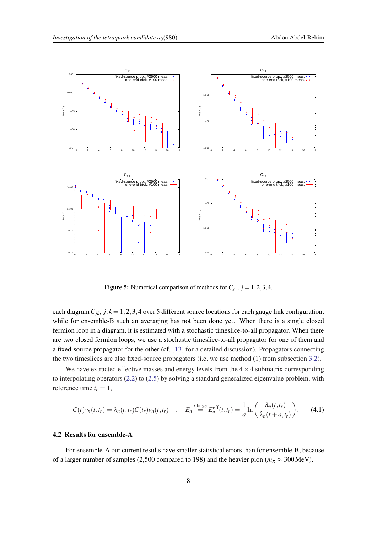<span id="page-7-0"></span>

**Figure 5:** Numerical comparison of methods for  $C_{j1}$ ,  $j = 1, 2, 3, 4$ .

each diagram  $C_{ik}$ ,  $j, k = 1, 2, 3, 4$  over 5 different source locations for each gauge link configuration, while for ensemble-B such an averaging has not been done yet. When there is a single closed fermion loop in a diagram, it is estimated with a stochastic timeslice-to-all propagator. When there are two closed fermion loops, we use a stochastic timeslice-to-all propagator for one of them and a fixed-source propagator for the other (cf. [[13\]](#page-11-0) for a detailed discussion). Propagators connecting the two timeslices are also fixed-source propagators (i.e. we use method (1) from subsection [3.2](#page-6-0)).

We have extracted effective masses and energy levels from the  $4 \times 4$  submatrix corresponding to interpolating operators [\(2.2](#page-2-0)) to ([2.5\)](#page-2-0) by solving a standard generalized eigenvalue problem, with reference time  $t_r = 1$ ,

$$
C(t)v_n(t,t_r) = \lambda_n(t,t_r)C(t_r)v_n(t,t_r) \quad , \quad E_n \stackrel{t \text{ large}}{=} E_n^{\text{eff}}(t,t_r) = \frac{1}{a}\ln\left(\frac{\lambda_n(t,t_r)}{\lambda_n(t+a,t_r)}\right). \tag{4.1}
$$

# 4.2 Results for ensemble-A

For ensemble-A our current results have smaller statistical errors than for ensemble-B, because of a larger number of samples (2,500 compared to 198) and the heavier pion ( $m_\pi \approx 300 \,\text{MeV}$ ).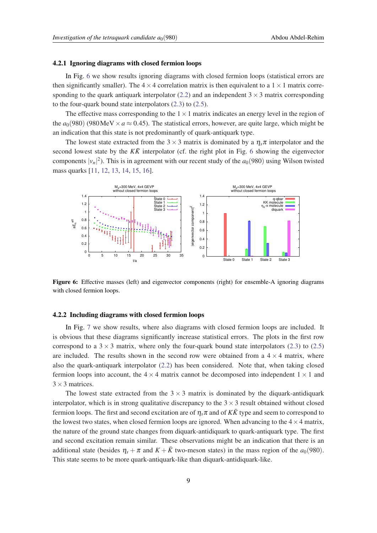#### 4.2.1 Ignoring diagrams with closed fermion loops

In Fig. 6 we show results ignoring diagrams with closed fermion loops (statistical errors are then significantly smaller). The  $4 \times 4$  correlation matrix is then equivalent to a  $1 \times 1$  matrix corre-sponding to the quark antiquark interpolator ([2.2](#page-2-0)) and an independent  $3 \times 3$  matrix corresponding to the four-quark bound state interpolators ([2.3\)](#page-2-0) to ([2.5](#page-2-0)).

The effective mass corresponding to the  $1 \times 1$  matrix indicates an energy level in the region of the  $a_0(980)$  (980 MeV  $\times a \approx 0.45$ ). The statistical errors, however, are quite large, which might be an indication that this state is not predominantly of quark-antiquark type.

The lowest state extracted from the 3  $\times$  3 matrix is dominated by a  $\eta_s \pi$  interpolator and the second lowest state by the  $K\bar{K}$  interpolator (cf. the right plot in Fig. 6 showing the eigenvector components  $|v_n|^2$ ). This is in agreement with our recent study of the  $a_0(980)$  using Wilson twisted mass quarks [\[11](#page-11-0), [12,](#page-11-0) [13,](#page-11-0) [14](#page-11-0), [15,](#page-11-0) [16](#page-11-0)].



Figure 6: Effective masses (left) and eigenvector components (right) for ensemble-A ignoring diagrams with closed fermion loops.

#### 4.2.2 Including diagrams with closed fermion loops

In Fig. [7](#page-9-0) we show results, where also diagrams with closed fermion loops are included. It is obvious that these diagrams significantly increase statistical errors. The plots in the first row correspond to a  $3 \times 3$  matrix, where only the four-quark bound state interpolators ([2.3](#page-2-0)) to ([2.5](#page-2-0)) are included. The results shown in the second row were obtained from a  $4 \times 4$  matrix, where also the quark-antiquark interpolator ([2.2](#page-2-0)) has been considered. Note that, when taking closed fermion loops into account, the  $4 \times 4$  matrix cannot be decomposed into independent  $1 \times 1$  and  $3 \times 3$  matrices.

The lowest state extracted from the  $3 \times 3$  matrix is dominated by the diquark-antidiquark interpolator, which is in strong qualitative discrepancy to the  $3 \times 3$  result obtained without closed fermion loops. The first and second excitation are of  $\eta<sub>s</sub>$ π and of  $K\bar{K}$  type and seem to correspond to the lowest two states, when closed fermion loops are ignored. When advancing to the  $4 \times 4$  matrix, the nature of the ground state changes from diquark-antidiquark to quark-antiquark type. The first and second excitation remain similar. These observations might be an indication that there is an additional state (besides  $\eta_s + \pi$  and  $K + \bar{K}$  two-meson states) in the mass region of the *a*<sub>0</sub>(980). This state seems to be more quark-antiquark-like than diquark-antidiquark-like.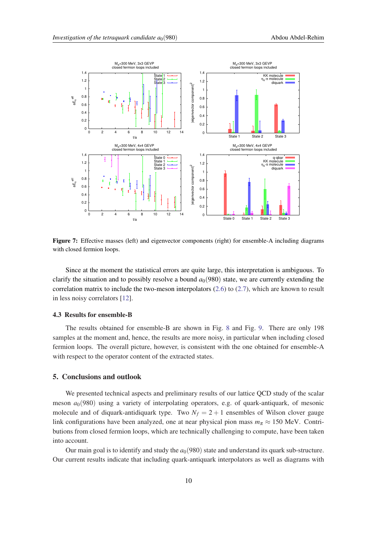<span id="page-9-0"></span>

Figure 7: Effective masses (left) and eigenvector components (right) for ensemble-A including diagrams with closed fermion loops.

Since at the moment the statistical errors are quite large, this interpretation is ambiguous. To clarify the situation and to possibly resolve a bound  $a<sub>0</sub>(980)$  state, we are currently extending the correlation matrix to include the two-meson interpolators  $(2.6)$  to  $(2.7)$  $(2.7)$ , which are known to result in less noisy correlators [\[12\]](#page-11-0).

# 4.3 Results for ensemble-B

The results obtained for ensemble-B are shown in Fig. [8](#page-10-0) and Fig. [9.](#page-10-0) There are only 198 samples at the moment and, hence, the results are more noisy, in particular when including closed fermion loops. The overall picture, however, is consistent with the one obtained for ensemble-A with respect to the operator content of the extracted states.

# 5. Conclusions and outlook

We presented technical aspects and preliminary results of our lattice QCD study of the scalar meson  $a_0(980)$  using a variety of interpolating operators, e.g. of quark-antiquark, of mesonic molecule and of diquark-antidiquark type. Two  $N_f = 2 + 1$  ensembles of Wilson clover gauge link configurations have been analyzed, one at near physical pion mass  $m_\pi \approx 150$  MeV. Contributions from closed fermion loops, which are technically challenging to compute, have been taken into account.

Our main goal is to identify and study the  $a<sub>0</sub>(980)$  state and understand its quark sub-structure. Our current results indicate that including quark-antiquark interpolators as well as diagrams with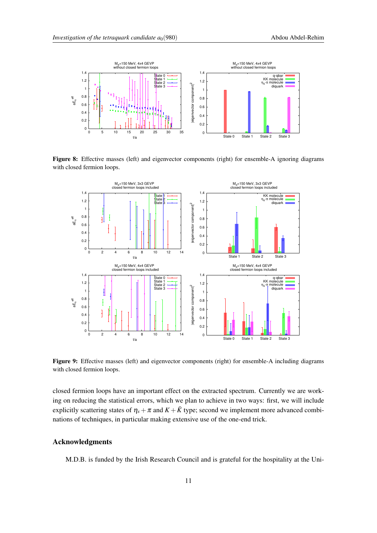<span id="page-10-0"></span>

Figure 8: Effective masses (left) and eigenvector components (right) for ensemble-A ignoring diagrams with closed fermion loops.



Figure 9: Effective masses (left) and eigenvector components (right) for ensemble-A including diagrams with closed fermion loops.

closed fermion loops have an important effect on the extracted spectrum. Currently we are working on reducing the statistical errors, which we plan to achieve in two ways: first, we will include explicitly scattering states of  $\eta_s + \pi$  and  $K + \bar{K}$  type; second we implement more advanced combinations of techniques, in particular making extensive use of the one-end trick.

# Acknowledgments

M.D.B. is funded by the Irish Research Council and is grateful for the hospitality at the Uni-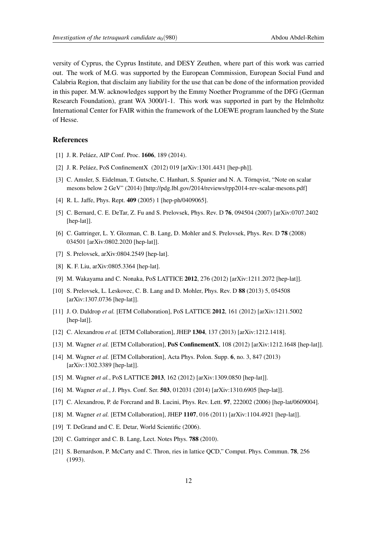<span id="page-11-0"></span>versity of Cyprus, the Cyprus Institute, and DESY Zeuthen, where part of this work was carried out. The work of M.G. was supported by the European Commission, European Social Fund and Calabria Region, that disclaim any liability for the use that can be done of the information provided in this paper. M.W. acknowledges support by the Emmy Noether Programme of the DFG (German Research Foundation), grant WA 3000/1-1. This work was supported in part by the Helmholtz International Center for FAIR within the framework of the LOEWE program launched by the State of Hesse.

## References

- [1] J. R. Peláez, AIP Conf. Proc. 1606, 189 (2014).
- [2] J. R. Peláez, PoS ConfinementX (2012) 019 [arXiv:1301.4431 [hep-ph]].
- [3] C. Amsler, S. Eidelman, T. Gutsche, C. Hanhart, S. Spanier and N. A. Törnqvist, "Note on scalar mesons below 2 GeV" (2014) [http://pdg.lbl.gov/2014/reviews/rpp2014-rev-scalar-mesons.pdf]
- [4] R. L. Jaffe, Phys. Rept. 409 (2005) 1 [hep-ph/0409065].
- [5] C. Bernard, C. E. DeTar, Z. Fu and S. Prelovsek, Phys. Rev. D 76, 094504 (2007) [arXiv:0707.2402 [hep-lat]].
- [6] C. Gattringer, L. Y. Glozman, C. B. Lang, D. Mohler and S. Prelovsek, Phys. Rev. D 78 (2008) 034501 [arXiv:0802.2020 [hep-lat]].
- [7] S. Prelovsek, arXiv:0804.2549 [hep-lat].
- [8] K. F. Liu, arXiv:0805.3364 [hep-lat].
- [9] M. Wakayama and C. Nonaka, PoS LATTICE 2012, 276 (2012) [arXiv:1211.2072 [hep-lat]].
- [10] S. Prelovsek, L. Leskovec, C. B. Lang and D. Mohler, Phys. Rev. D 88 (2013) 5, 054508 [arXiv:1307.0736 [hep-lat]].
- [11] J. O. Daldrop *et al.* [ETM Collaboration], PoS LATTICE 2012, 161 (2012) [arXiv:1211.5002 [hep-lat]].
- [12] C. Alexandrou *et al.* [ETM Collaboration], JHEP 1304, 137 (2013) [arXiv:1212.1418].
- [13] M. Wagner *et al.* [ETM Collaboration], PoS ConfinementX, 108 (2012) [arXiv:1212.1648 [hep-lat]].
- [14] M. Wagner *et al.* [ETM Collaboration], Acta Phys. Polon. Supp. 6, no. 3, 847 (2013) [arXiv:1302.3389 [hep-lat]].
- [15] M. Wagner *et al.*, PoS LATTICE **2013**, 162 (2012) [arXiv:1309.0850 [hep-lat]].
- [16] M. Wagner *et al.*, J. Phys. Conf. Ser. 503, 012031 (2014) [arXiv:1310.6905 [hep-lat]].
- [17] C. Alexandrou, P. de Forcrand and B. Lucini, Phys. Rev. Lett. 97, 222002 (2006) [hep-lat/0609004].
- [18] M. Wagner et al. [ETM Collaboration], JHEP 1107, 016 (2011) [arXiv:1104.4921 [hep-lat]].
- [19] T. DeGrand and C. E. Detar, World Scientific (2006).
- [20] C. Gattringer and C. B. Lang, Lect. Notes Phys. 788 (2010).
- [21] S. Bernardson, P. McCarty and C. Thron, ries in lattice QCD," Comput. Phys. Commun. 78, 256 (1993).